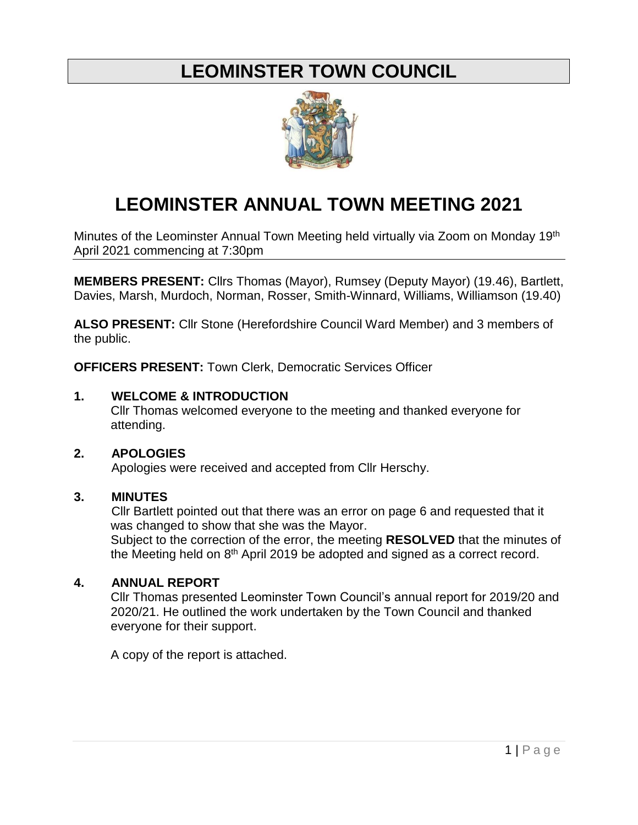# **LEOMINSTER TOWN COUNCIL**



# **LEOMINSTER ANNUAL TOWN MEETING 2021**

Minutes of the Leominster Annual Town Meeting held virtually via Zoom on Monday 19<sup>th</sup> April 2021 commencing at 7:30pm

**MEMBERS PRESENT:** Cllrs Thomas (Mayor), Rumsey (Deputy Mayor) (19.46), Bartlett, Davies, Marsh, Murdoch, Norman, Rosser, Smith-Winnard, Williams, Williamson (19.40)

**ALSO PRESENT:** Cllr Stone (Herefordshire Council Ward Member) and 3 members of the public.

**OFFICERS PRESENT:** Town Clerk, Democratic Services Officer

#### **1. WELCOME & INTRODUCTION**

Cllr Thomas welcomed everyone to the meeting and thanked everyone for attending.

## **2. APOLOGIES**

Apologies were received and accepted from Cllr Herschy.

## **3. MINUTES**

Cllr Bartlett pointed out that there was an error on page 6 and requested that it was changed to show that she was the Mayor.

Subject to the correction of the error, the meeting **RESOLVED** that the minutes of the Meeting held on  $8<sup>th</sup>$  April 2019 be adopted and signed as a correct record.

## **4. ANNUAL REPORT**

Cllr Thomas presented Leominster Town Council's annual report for 2019/20 and 2020/21. He outlined the work undertaken by the Town Council and thanked everyone for their support.

A copy of the report is attached.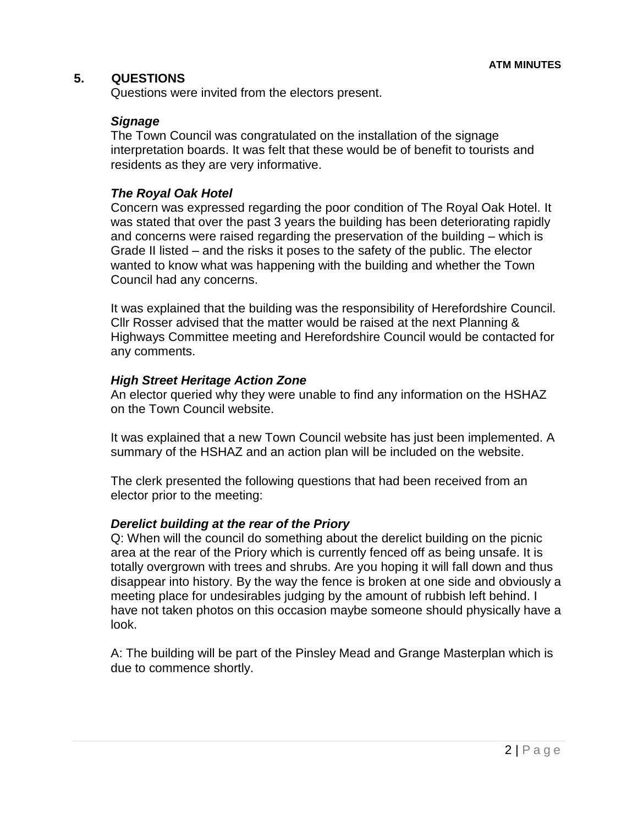## **5. QUESTIONS**

Questions were invited from the electors present.

#### *Signage*

The Town Council was congratulated on the installation of the signage interpretation boards. It was felt that these would be of benefit to tourists and residents as they are very informative.

#### *The Royal Oak Hotel*

Concern was expressed regarding the poor condition of The Royal Oak Hotel. It was stated that over the past 3 years the building has been deteriorating rapidly and concerns were raised regarding the preservation of the building – which is Grade II listed – and the risks it poses to the safety of the public. The elector wanted to know what was happening with the building and whether the Town Council had any concerns.

It was explained that the building was the responsibility of Herefordshire Council. Cllr Rosser advised that the matter would be raised at the next Planning & Highways Committee meeting and Herefordshire Council would be contacted for any comments.

#### *High Street Heritage Action Zone*

An elector queried why they were unable to find any information on the HSHAZ on the Town Council website.

It was explained that a new Town Council website has just been implemented. A summary of the HSHAZ and an action plan will be included on the website.

The clerk presented the following questions that had been received from an elector prior to the meeting:

#### *Derelict building at the rear of the Priory*

Q: When will the council do something about the derelict building on the picnic area at the rear of the Priory which is currently fenced off as being unsafe. It is totally overgrown with trees and shrubs. Are you hoping it will fall down and thus disappear into history. By the way the fence is broken at one side and obviously a meeting place for undesirables judging by the amount of rubbish left behind. I have not taken photos on this occasion maybe someone should physically have a look.

A: The building will be part of the Pinsley Mead and Grange Masterplan which is due to commence shortly.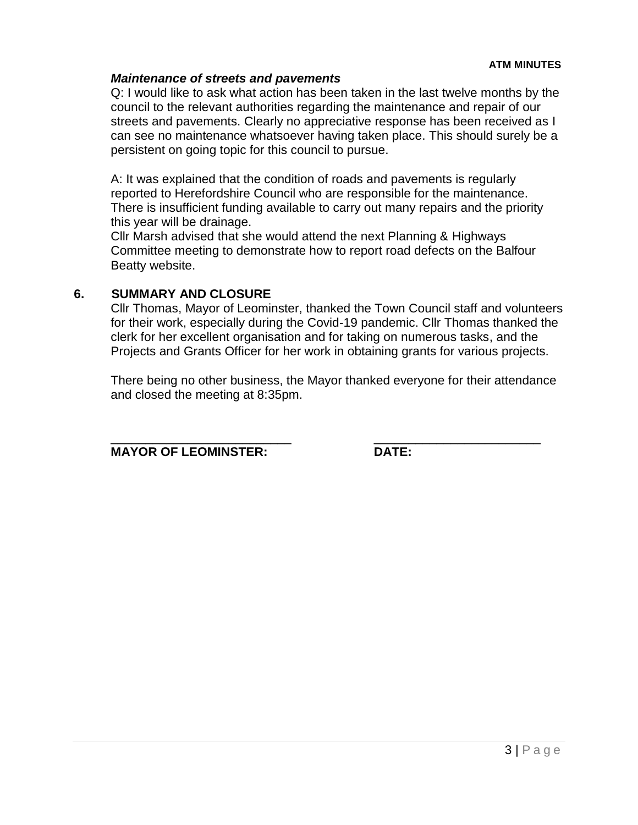#### *Maintenance of streets and pavements*

Q: I would like to ask what action has been taken in the last twelve months by the council to the relevant authorities regarding the maintenance and repair of our streets and pavements. Clearly no appreciative response has been received as I can see no maintenance whatsoever having taken place. This should surely be a persistent on going topic for this council to pursue.

A: It was explained that the condition of roads and pavements is regularly reported to Herefordshire Council who are responsible for the maintenance. There is insufficient funding available to carry out many repairs and the priority this year will be drainage.

Cllr Marsh advised that she would attend the next Planning & Highways Committee meeting to demonstrate how to report road defects on the Balfour Beatty website.

## **6. SUMMARY AND CLOSURE**

Cllr Thomas, Mayor of Leominster, thanked the Town Council staff and volunteers for their work, especially during the Covid-19 pandemic. Cllr Thomas thanked the clerk for her excellent organisation and for taking on numerous tasks, and the Projects and Grants Officer for her work in obtaining grants for various projects.

There being no other business, the Mayor thanked everyone for their attendance and closed the meeting at 8:35pm.

\_\_\_\_\_\_\_\_\_\_\_\_\_\_\_\_\_\_\_\_\_\_\_\_\_\_ \_\_\_\_\_\_\_\_\_\_\_\_\_\_\_\_\_\_\_\_\_\_\_\_

**MAYOR OF LEOMINSTER: DATE:**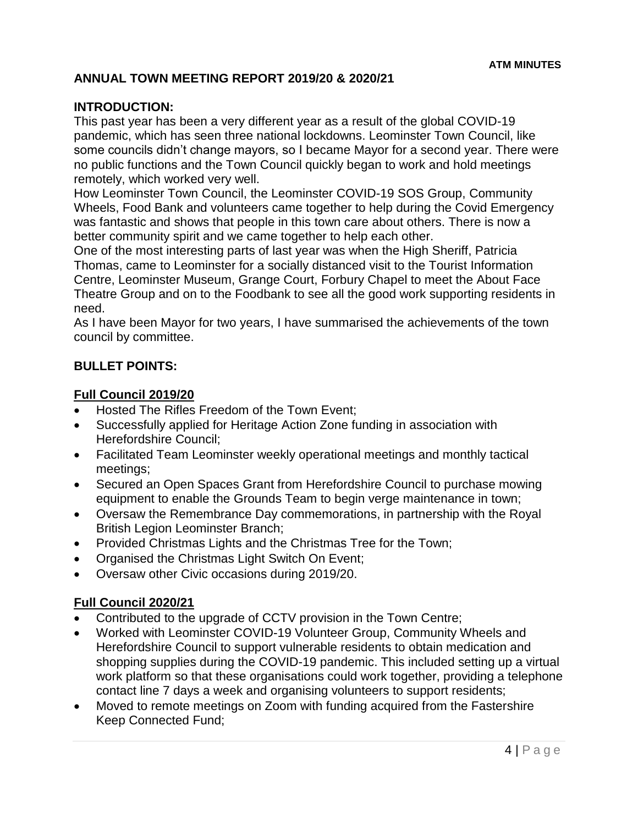# **ANNUAL TOWN MEETING REPORT 2019/20 & 2020/21**

# **INTRODUCTION:**

This past year has been a very different year as a result of the global COVID-19 pandemic, which has seen three national lockdowns. Leominster Town Council, like some councils didn't change mayors, so I became Mayor for a second year. There were no public functions and the Town Council quickly began to work and hold meetings remotely, which worked very well.

How Leominster Town Council, the Leominster COVID-19 SOS Group, Community Wheels, Food Bank and volunteers came together to help during the Covid Emergency was fantastic and shows that people in this town care about others. There is now a better community spirit and we came together to help each other.

One of the most interesting parts of last year was when the High Sheriff, Patricia Thomas, came to Leominster for a socially distanced visit to the Tourist Information Centre, Leominster Museum, Grange Court, Forbury Chapel to meet the About Face Theatre Group and on to the Foodbank to see all the good work supporting residents in need.

As I have been Mayor for two years, I have summarised the achievements of the town council by committee.

## **BULLET POINTS:**

#### **Full Council 2019/20**

- Hosted The Rifles Freedom of the Town Event;
- Successfully applied for Heritage Action Zone funding in association with Herefordshire Council;
- Facilitated Team Leominster weekly operational meetings and monthly tactical meetings;
- Secured an Open Spaces Grant from Herefordshire Council to purchase mowing equipment to enable the Grounds Team to begin verge maintenance in town;
- Oversaw the Remembrance Day commemorations, in partnership with the Royal British Legion Leominster Branch;
- Provided Christmas Lights and the Christmas Tree for the Town;
- Organised the Christmas Light Switch On Event;
- Oversaw other Civic occasions during 2019/20.

## **Full Council 2020/21**

- Contributed to the upgrade of CCTV provision in the Town Centre;
- Worked with Leominster COVID-19 Volunteer Group, Community Wheels and Herefordshire Council to support vulnerable residents to obtain medication and shopping supplies during the COVID-19 pandemic. This included setting up a virtual work platform so that these organisations could work together, providing a telephone contact line 7 days a week and organising volunteers to support residents;
- Moved to remote meetings on Zoom with funding acquired from the Fastershire Keep Connected Fund;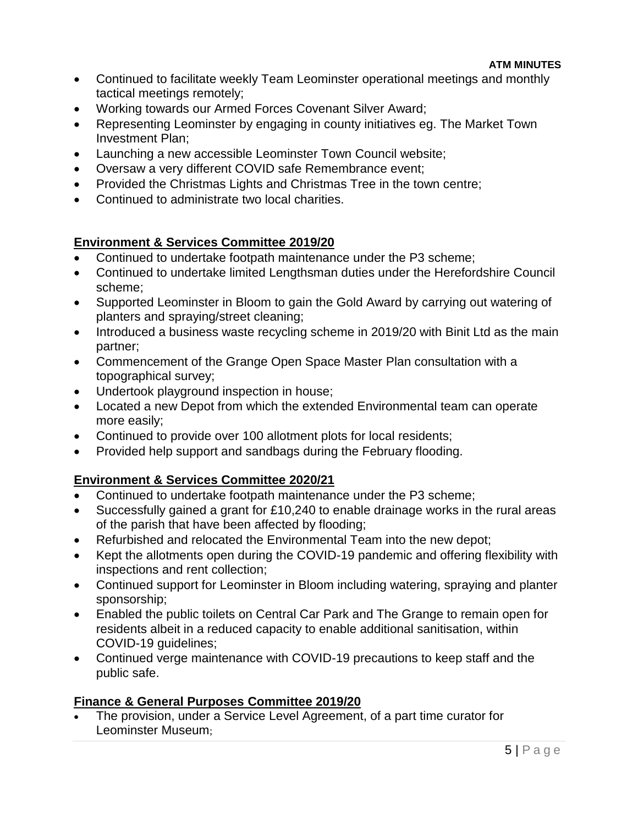- Continued to facilitate weekly Team Leominster operational meetings and monthly tactical meetings remotely;
- Working towards our Armed Forces Covenant Silver Award;
- Representing Leominster by engaging in county initiatives eg. The Market Town Investment Plan;
- Launching a new accessible Leominster Town Council website;
- Oversaw a very different COVID safe Remembrance event;
- Provided the Christmas Lights and Christmas Tree in the town centre;
- Continued to administrate two local charities.

# **Environment & Services Committee 2019/20**

- Continued to undertake footpath maintenance under the P3 scheme;
- Continued to undertake limited Lengthsman duties under the Herefordshire Council scheme;
- Supported Leominster in Bloom to gain the Gold Award by carrying out watering of planters and spraying/street cleaning;
- Introduced a business waste recycling scheme in 2019/20 with Binit Ltd as the main partner;
- Commencement of the Grange Open Space Master Plan consultation with a topographical survey;
- Undertook playground inspection in house;
- Located a new Depot from which the extended Environmental team can operate more easily;
- Continued to provide over 100 allotment plots for local residents;
- Provided help support and sandbags during the February flooding.

# **Environment & Services Committee 2020/21**

- Continued to undertake footpath maintenance under the P3 scheme;
- Successfully gained a grant for £10,240 to enable drainage works in the rural areas of the parish that have been affected by flooding;
- Refurbished and relocated the Environmental Team into the new depot;
- Kept the allotments open during the COVID-19 pandemic and offering flexibility with inspections and rent collection;
- Continued support for Leominster in Bloom including watering, spraying and planter sponsorship;
- Enabled the public toilets on Central Car Park and The Grange to remain open for residents albeit in a reduced capacity to enable additional sanitisation, within COVID-19 guidelines;
- Continued verge maintenance with COVID-19 precautions to keep staff and the public safe.

# **Finance & General Purposes Committee 2019/20**

 The provision, under a Service Level Agreement, of a part time curator for Leominster Museum;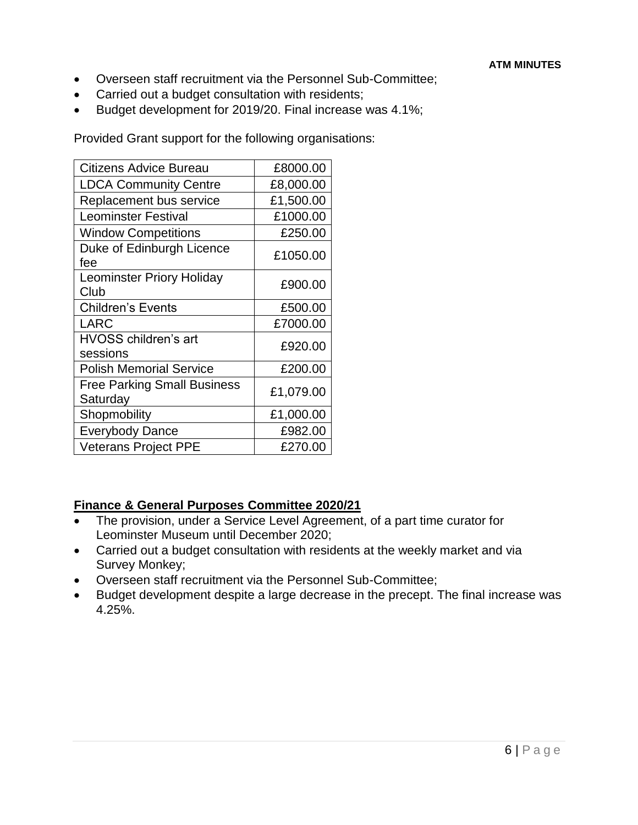- Overseen staff recruitment via the Personnel Sub-Committee;
- Carried out a budget consultation with residents;
- Budget development for 2019/20. Final increase was 4.1%;

Provided Grant support for the following organisations:

| Citizens Advice Bureau                         | £8000.00  |
|------------------------------------------------|-----------|
| <b>LDCA Community Centre</b>                   | £8,000.00 |
| Replacement bus service                        | £1,500.00 |
| <b>Leominster Festival</b>                     | £1000.00  |
| <b>Window Competitions</b>                     | £250.00   |
| Duke of Edinburgh Licence<br>fee               | £1050.00  |
| <b>Leominster Priory Holiday</b><br>Club       | £900.00   |
| <b>Children's Events</b>                       | £500.00   |
| <b>LARC</b>                                    | £7000.00  |
| HVOSS children's art<br>sessions               | £920.00   |
| <b>Polish Memorial Service</b>                 | £200.00   |
| <b>Free Parking Small Business</b><br>Saturday | £1,079.00 |
| Shopmobility                                   | £1,000.00 |
| <b>Everybody Dance</b>                         | £982.00   |
| <b>Veterans Project PPE</b>                    | £270.00   |

## **Finance & General Purposes Committee 2020/21**

- The provision, under a Service Level Agreement, of a part time curator for Leominster Museum until December 2020;
- Carried out a budget consultation with residents at the weekly market and via Survey Monkey;
- Overseen staff recruitment via the Personnel Sub-Committee;
- Budget development despite a large decrease in the precept. The final increase was 4.25%.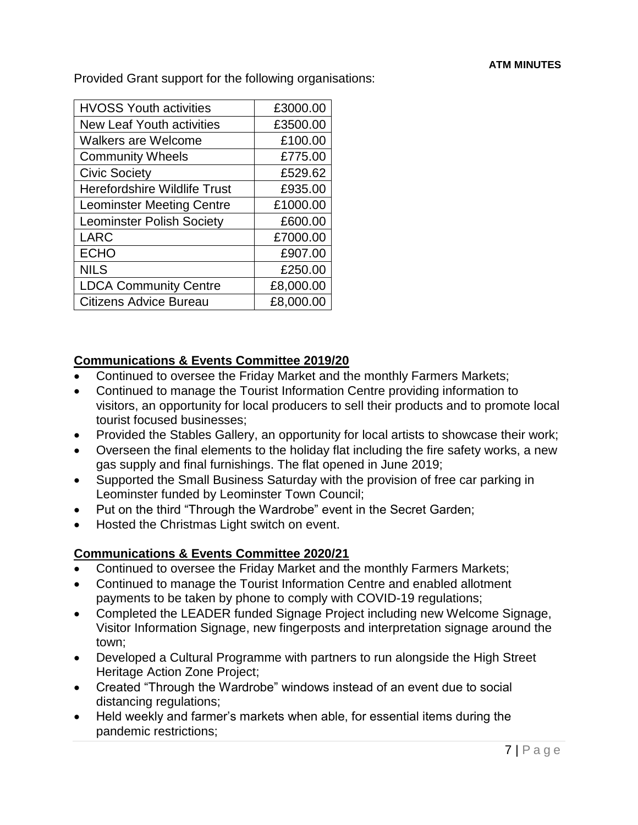Provided Grant support for the following organisations:

| <b>HVOSS Youth activities</b>       | £3000.00  |
|-------------------------------------|-----------|
| <b>New Leaf Youth activities</b>    | £3500.00  |
| <b>Walkers are Welcome</b>          | £100.00   |
| <b>Community Wheels</b>             | £775.00   |
| <b>Civic Society</b>                | £529.62   |
| <b>Herefordshire Wildlife Trust</b> | £935.00   |
| <b>Leominster Meeting Centre</b>    | £1000.00  |
| <b>Leominster Polish Society</b>    | £600.00   |
| <b>LARC</b>                         | £7000.00  |
| <b>ECHO</b>                         | £907.00   |
| <b>NILS</b>                         | £250.00   |
| <b>LDCA Community Centre</b>        | £8,000.00 |
| <b>Citizens Advice Bureau</b>       | £8,000.00 |

# **Communications & Events Committee 2019/20**

- Continued to oversee the Friday Market and the monthly Farmers Markets;
- Continued to manage the Tourist Information Centre providing information to visitors, an opportunity for local producers to sell their products and to promote local tourist focused businesses;
- Provided the Stables Gallery, an opportunity for local artists to showcase their work;
- Overseen the final elements to the holiday flat including the fire safety works, a new gas supply and final furnishings. The flat opened in June 2019;
- Supported the Small Business Saturday with the provision of free car parking in Leominster funded by Leominster Town Council;
- Put on the third "Through the Wardrobe" event in the Secret Garden;
- Hosted the Christmas Light switch on event.

# **Communications & Events Committee 2020/21**

- Continued to oversee the Friday Market and the monthly Farmers Markets;
- Continued to manage the Tourist Information Centre and enabled allotment payments to be taken by phone to comply with COVID-19 regulations;
- Completed the LEADER funded Signage Project including new Welcome Signage, Visitor Information Signage, new fingerposts and interpretation signage around the town;
- Developed a Cultural Programme with partners to run alongside the High Street Heritage Action Zone Project;
- Created "Through the Wardrobe" windows instead of an event due to social distancing regulations;
- Held weekly and farmer's markets when able, for essential items during the pandemic restrictions;